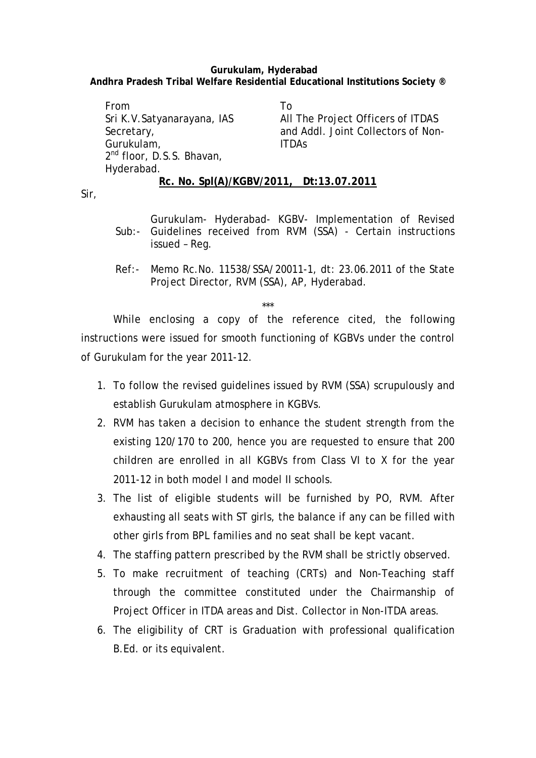## **Gurukulam, Hyderabad Andhra Pradesh Tribal Welfare Residential Educational Institutions Society ®**

From Sri K.V.Satyanarayana, IAS Secretary, Gurukulam, 2<sup>nd</sup> floor, D.S.S. Bhavan, Hyderabad. To All The Project Officers of ITDAS and Addl. Joint Collectors of Non-ITDAs

**Rc. No. Spl(A)/KGBV/2011, Dt:13.07.2011**

Sir,

- Sub:- Guidelines received from RVM (SSA) Certain instructions Gurukulam- Hyderabad- KGBV- Implementation of Revised issued – Reg.
- Ref:- Memo Rc.No. 11538/SSA/20011-1, dt: 23.06.2011 of the State Project Director, RVM (SSA), AP, Hyderabad.

\*\*\*

While enclosing a copy of the reference cited, the following instructions were issued for smooth functioning of KGBVs under the control of Gurukulam for the year 2011-12.

- 1. To follow the revised guidelines issued by RVM (SSA) scrupulously and establish Gurukulam atmosphere in KGBVs.
- 2. RVM has taken a decision to enhance the student strength from the existing 120/170 to 200, hence you are requested to ensure that 200 children are enrolled in all KGBVs from Class VI to X for the year 2011-12 in both model I and model II schools.
- 3. The list of eligible students will be furnished by PO, RVM. After exhausting all seats with ST girls, the balance if any can be filled with other girls from BPL families and no seat shall be kept vacant.
- 4. The staffing pattern prescribed by the RVM shall be strictly observed.
- 5. To make recruitment of teaching (CRTs) and Non-Teaching staff through the committee constituted under the Chairmanship of Project Officer in ITDA areas and Dist. Collector in Non-ITDA areas.
- 6. The eligibility of CRT is Graduation with professional qualification B.Ed. or its equivalent.